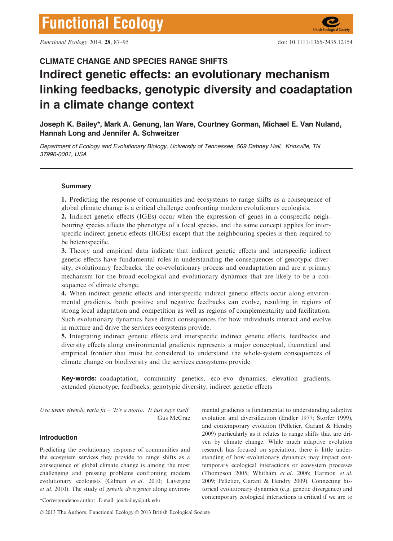# CLIMATE CHANGE AND SPECIES RANGE SHIFTS Indirect genetic effects: an evolutionary mechanism linking feedbacks, genotypic diversity and coadaptation in a climate change context

Joseph K. Bailey\*, Mark A. Genung, Ian Ware, Courtney Gorman, Michael E. Van Nuland, Hannah Long and Jennifer A. Schweitzer

Department of Ecology and Evolutionary Biology, University of Tennessee, 569 Dabney Hall, Knoxville, TN 37996-0001, USA

# **Summary**

1. Predicting the response of communities and ecosystems to range shifts as a consequence of global climate change is a critical challenge confronting modern evolutionary ecologists.

2. Indirect genetic effects (IGEs) occur when the expression of genes in a conspecific neighbouring species affects the phenotype of a focal species, and the same concept applies for interspecific indirect genetic effects (IIGEs) except that the neighbouring species is then required to be heterospecific.

3. Theory and empirical data indicate that indirect genetic effects and interspecific indirect genetic effects have fundamental roles in understanding the consequences of genotypic diversity, evolutionary feedbacks, the co-evolutionary process and coadaptation and are a primary mechanism for the broad ecological and evolutionary dynamics that are likely to be a consequence of climate change.

4. When indirect genetic effects and interspecific indirect genetic effects occur along environmental gradients, both positive and negative feedbacks can evolve, resulting in regions of strong local adaptation and competition as well as regions of complementarity and facilitation. Such evolutionary dynamics have direct consequences for how individuals interact and evolve in mixture and drive the services ecosystems provide.

5. Integrating indirect genetic effects and interspecific indirect genetic effects, feedbacks and diversity effects along environmental gradients represents a major conceptual, theoretical and empirical frontier that must be considered to understand the whole-system consequences of climate change on biodiversity and the services ecosystems provide.

Key-words: coadaptation, community genetics, eco–evo dynamics, elevation gradients, extended phenotype, feedbacks, genotypic diversity, indirect genetic effects

Uva uvam vivendo varia fit – 'It's a motto. It just says itself' Gus McCrae

# Introduction

Predicting the evolutionary response of communities and the ecosystem services they provide to range shifts as a consequence of global climate change is among the most challenging and pressing problems confronting modern evolutionary ecologists (Gilman et al. 2010; Lavergne et al. 2010). The study of genetic divergence along environ-

© 2013 The Authors. Functional Ecology © 2013 British Ecological Society

mental gradients is fundamental to understanding adaptive evolution and diversification (Endler 1977; Storfer 1999), and contemporary evolution (Pelletier, Garant & Hendry 2009) particularly as it relates to range shifts that are driven by climate change. While much adaptive evolution research has focused on speciation, there is little understanding of how evolutionary dynamics may impact contemporary ecological interactions or ecosystem processes (Thompson 2005; Whitham et al. 2006; Harmon et al. 2009; Pelletier, Garant & Hendry 2009). Connecting historical evolutionary dynamics (e.g. genetic divergence) and contemporary ecological interactions is critical if we are to \*Correspondence author. E-mail: joe.bailey@utk.edu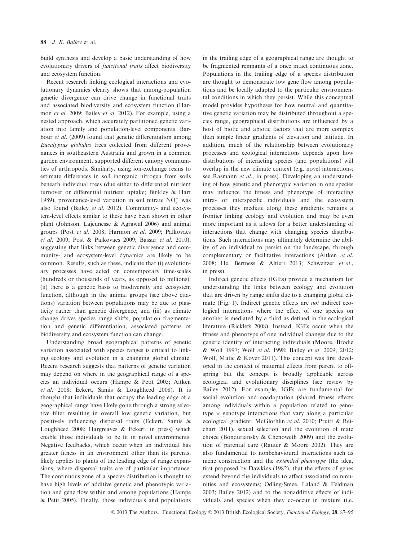build synthesis and develop a basic understanding of how evolutionary drivers of functional traits affect biodiversity and ecosystem function.

Recent research linking ecological interactions and evolutionary dynamics clearly shows that among-population genetic divergence can drive change in functional traits and associated biodiversity and ecosystem function (Harmon et al. 2009; Bailey et al. 2012). For example, using a nested approach, which accurately partitioned genetic variation into family and population-level components, Barbour *et al.* (2009) found that genetic differentiation among Eucalyptus globulus trees collected from different provenances in southeastern Australia and grown in a common garden environment, supported different canopy communities of arthropods. Similarly, using ion-exchange resins to estimate differences in soil inorganic nitrogen from soils beneath individual trees (due either to differential nutrient turnover or differential nutrient uptake; Binkley & Hart 1989), provenance-level variation in soil nitrate  $NO_3^-$  was also found (Bailey et al. 2012). Community- and ecosystem-level effects similar to these have been shown in other plant (Johnson, Lajeunesse & Agrawal 2006) and animal groups (Post et al. 2008; Harmon et al. 2009; Palkovacs et al. 2009; Post & Palkovacs 2009; Bassar et al. 2010), suggesting that links between genetic divergence and community- and ecosystem-level dynamics are likely to be common. Results, such as these, indicate that (i) evolutionary processes have acted on contemporary time-scales (hundreds or thousands of years, as opposed to millions); (ii) there is a genetic basis to biodiversity and ecosystem function, although in the animal groups (see above citations) variation between populations may be due to plasticity rather than genetic divergence; and (iii) as climate change drives species range shifts, population fragmentation and genetic differentiation, associated patterns of biodiversity and ecosystem function can change.

Understanding broad geographical patterns of genetic variation associated with species ranges is critical to linking ecology and evolution in a changing global climate. Recent research suggests that patterns of genetic variation may depend on where in the geographical range of a species an individual occurs (Hampe & Petit 2005; Aitken et al. 2008; Eckert, Samis & Loughheed 2008). It is thought that individuals that occupy the leading edge of a geographical range have likely gone through a strong selective filter resulting in overall low genetic variation, but positively influencing dispersal traits (Eckert, Samis & Loughheed 2008; Hargreaves & Eckert, in press) which enable those individuals to be fit in novel environments. Negative feedbacks, which occur when an individual has greater fitness in an environment other than its parents, likely applies to plants of the leading edge of range expansions, where dispersal traits are of particular importance. The continuous zone of a species distribution is thought to have high levels of additive genetic and phenotypic variation and gene flow within and among populations (Hampe & Petit 2005). Finally, those individuals and populations in the trailing edge of a geographical range are thought to be fragmented remnants of a once intact continuous zone. Populations in the trailing edge of a species distribution are thought to demonstrate low gene flow among populations and be locally adapted to the particular environmental conditions in which they persist. While this conceptual model provides hypotheses for how neutral and quantitative genetic variation may be distributed throughout a species range, geographical distributions are influenced by a host of biotic and abiotic factors that are more complex than simple linear gradients of elevation and latitude. In addition, much of the relationship between evolutionary processes and ecological interactions depends upon how distributions of interacting species (and populations) will overlap in the new climate context (e.g. novel interactions; see Rasmann et al., in press). Developing an understanding of how genetic and phenotypic variation in one species may influence the fitness and phenotype of interacting intra- or interspecific individuals and the ecosystem processes they mediate along these gradients remains a frontier linking ecology and evolution and may be even more important as it allows for a better understanding of interactions that change with changing species distributions. Such interactions may ultimately determine the ability of an individual to persist on the landscape, through complementary or facilitative interactions (Aitken et al. 2008; He, Bertness & Altieri 2013; Schweitzer et al., in press).

Indirect genetic effects (IGEs) provide a mechanism for understanding the links between ecology and evolution that are driven by range shifts due to a changing global climate (Fig. 1). Indirect genetic effects are *not* indirect ecological interactions where the effect of one species on another is mediated by a third as defined in the ecological literature (Ricklefs 2008). Instead, IGEs occur when the fitness and phenotype of one individual changes due to the genetic identity of interacting individuals (Moore, Brodie & Wolf 1997; Wolf et al. 1998; Bailey et al. 2009, 2012; Wolf, Mutic & Kover 2011). This concept was first developed in the context of maternal effects from parent to offspring but the concept is broadly applicable across ecological and evolutionary disciplines (see review by Bailey 2012). For example, IGEs are fundamental for social evolution and coadaptation (shared fitness effects among individuals within a population related to genotype  $\times$  genotype interactions that vary along a particular ecological gradient; McGlothlin et al. 2010; Pruitt & Reichart 2011), sexual selection and the evolution of mate choice (Bonduriansky & Chenoweth 2009) and the evolution of parental care (Rauter & Moore 2002). They are also fundamental to nonbehavioural interactions such as niche construction and the extended phenotype (the idea, first proposed by Dawkins (1982), that the effects of genes extend beyond the individuals to affect associated communities and ecosystems; Odling-Smee, Laland & Feldman 2003; Bailey 2012) and to the nonadditive effects of individuals and species when they co-occur in mixture (i.e.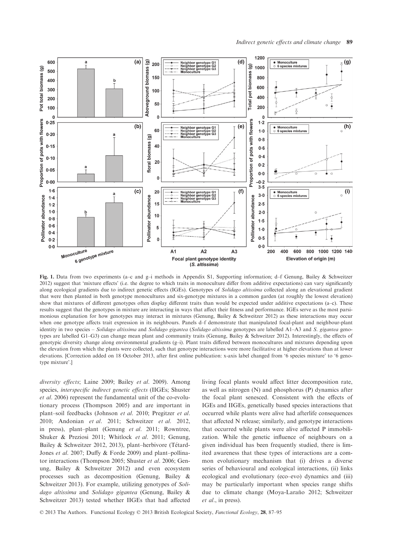

Fig. 1. Data from two experiments (a–c and g–i methods in Appendix S1, Supporting information; d–f Genung, Bailey & Schweitzer 2012) suggest that 'mixture effects' (i.e. the degree to which traits in monoculture differ from additive expectations) can vary significantly along ecological gradients due to indirect genetic effects (IGEs). Genotypes of Solidago altissima collected along an elevational gradient that were then planted in both genotype monocultures and six-genotype mixtures in a common garden (at roughly the lowest elevation) show that mixtures of different genotypes often display different traits than would be expected under additive expectations (a–c). These results suggest that the genotypes in mixture are interacting in ways that affect their fitness and performance. IGEs serve as the most parsimonious explanation for how genotypes may interact in mixtures (Genung, Bailey & Schweitzer 2012) as these interactions may occur when one genotype affects trait expression in its neighbours. Panels d–f demonstrate that manipulated focal-plant and neighbour-plant identity in two species - Solidago altissima and Solidago gigantea (Solidago altissima genotypes are labelled A1-A3 and S. gigantea genotypes are labelled G1–G3) can change mean plant and community traits (Genung, Bailey & Schweitzer 2012). Interestingly, the effects of genotypic diversity change along environmental gradients (g–i). Plant traits differed between monocultures and mixtures depending upon the elevation from which the plants were collected, such that genotype interactions were more facilitative at higher elevations than at lower elevations. [Correction added on 18 October 2013, after first online publication: x-axis label changed from '6 species mixture' to '6 genotype mixture'.]

diversity effects; Laine 2009; Bailey et al. 2009). Among species, interspecific indirect genetic effects (IIGEs; Shuster et al. 2006) represent the fundamental unit of the co-evolutionary process (Thompson 2005) and are important in plant–soil feedbacks (Johnson et al. 2010; Pregitzer et al. 2010; Andonian et al. 2011; Schweitzer et al. 2012, in press), plant–plant (Genung et al. 2011; Rowntree, Shuker & Preziosi 2011; Whitlock et al. 2011; Genung, Bailey & Schweitzer 2012, 2013), plant–herbivore (Tétard-Jones et al. 2007; Duffy & Forde 2009) and plant–pollinator interactions (Thompson 2005; Shuster et al. 2006; Genung, Bailey & Schweitzer 2012) and even ecosystem processes such as decomposition (Genung, Bailey & Schweitzer 2013). For example, utilizing genotypes of Solidago altissima and Solidago gigantea (Genung, Bailey & Schweitzer 2013) tested whether IIGEs that had affected

living focal plants would affect litter decomposition rate, as well as nitrogen (N) and phosphorus (P) dynamics after the focal plant senesced. Consistent with the effects of IGEs and IIGEs, genetically based species interactions that occurred while plants were alive had afterlife consequences that affected N release; similarly, and genotype interactions that occurred while plants were alive affected P immobilization. While the genetic influence of neighbours on a given individual has been frequently studied, there is limited awareness that these types of interactions are a common evolutionary mechanism that (i) drives a diverse series of behavioural and ecological interactions, (ii) links ecological and evolutionary (eco–evo) dynamics and (iii) may be particularly important when species range shifts due to climate change (Moya-Laraño 2012; Schweitzer et al., in press).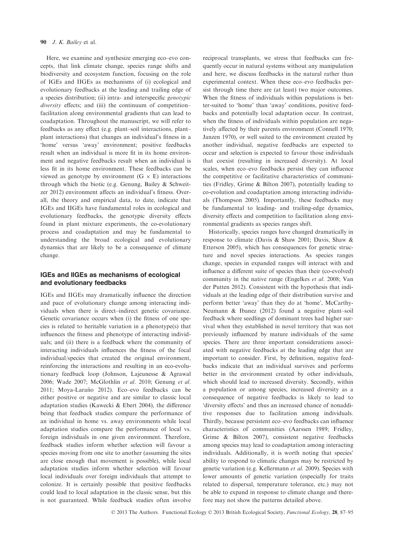Here, we examine and synthesize emerging eco–evo concepts, that link climate change, species range shifts and biodiversity and ecosystem function, focusing on the role of IGEs and IIGEs as mechanisms of (i) ecological and evolutionary feedbacks at the leading and trailing edge of a species distribution; (ii) intra- and interspecific genotypic diversity effects; and (iii) the continuum of competitionfacilitation along environmental gradients that can lead to coadaptation. Throughout the manuscript, we will refer to feedbacks as any effect (e.g. plant–soil interactions, plant– plant interactions) that changes an individual's fitness in a 'home' versus 'away' environment; positive feedbacks result when an individual is more fit in its home environment and negative feedbacks result when an individual is less fit in its home environment. These feedbacks can be viewed as genotype by environment  $(G \times E)$  interactions through which the biotic (e.g. Genung, Bailey & Schweitzer 2012) environment affects an individual's fitness. Overall, the theory and empirical data, to date, indicate that IGEs and IIGEs have fundamental roles in ecological and evolutionary feedbacks, the genotypic diversity effects found in plant mixture experiments, the co-evolutionary process and coadaptation and may be fundamental to understanding the broad ecological and evolutionary dynamics that are likely to be a consequence of climate change.

# IGEs and IIGEs as mechanisms of ecological and evolutionary feedbacks

IGEs and IIGEs may dramatically influence the direction and pace of evolutionary change among interacting individuals when there is direct–indirect genetic covariance. Genetic covariance occurs when (i) the fitness of one species is related to heritable variation in a phenotype(s) that influences the fitness and phenotype of interacting individuals; and (ii) there is a feedback where the community of interacting individuals influences the fitness of the focal individual/species that created the original environment, reinforcing the interactions and resulting in an eco-evolutionary feedback loop (Johnson, Lajeunesse & Agrawal 2006; Wade 2007; McGlothlin et al. 2010; Genung et al. 2011; Moya-Laraño 2012). Eco-evo feedbacks can be either positive or negative and are similar to classic local adaptation studies (Kawecki & Ebert 2004), the difference being that feedback studies compare the performance of an individual in home vs. away environments while local adaptation studies compare the performance of local vs. foreign individuals in one given environment. Therefore, feedback studies inform whether selection will favour a species moving from one site to another (assuming the sites are close enough that movement is possible), while local adaptation studies inform whether selection will favour local individuals over foreign individuals that attempt to colonize. It is certainly possible that positive feedbacks could lead to local adaptation in the classic sense, but this is not guaranteed. While feedback studies often involve

reciprocal transplants, we stress that feedbacks can frequently occur in natural systems without any manipulation and here, we discuss feedbacks in the natural rather than experimental context. When these eco–evo feedbacks persist through time there are (at least) two major outcomes. When the fitness of individuals within populations is better-suited to 'home' than 'away' conditions, positive feedbacks and potentially local adaptation occur. In contrast, when the fitness of individuals within population are negatively affected by their parents environment (Connell 1970; Janzen 1970), or well suited to the environment created by another individual, negative feedbacks are expected to occur and selection is expected to favour those individuals that coexist (resulting in increased diversity). At local scales, when eco–evo feedbacks persist they can influence the competitive or facilitative characteristics of communities (Fridley, Grime & Bilton 2007), potentially leading to co-evolution and coadaptation among interacting individuals (Thompson 2005). Importantly, these feedbacks may be fundamental to leading- and trailing-edge dynamics, diversity effects and competition to facilitation along environmental gradients as species ranges shift.

Historically, species ranges have changed dramatically in response to climate (Davis & Shaw 2001; Davis, Shaw & Etterson 2005), which has consequences for genetic structure and novel species interactions. As species ranges change, species in expanded ranges will interact with and influence a different suite of species than their (co-evolved) community in the native range (Engelkes et al. 2008; Van der Putten 2012). Consistent with the hypothesis that individuals at the leading edge of their distribution survive and perform better 'away' than they do at 'home', McCarthy-Neumann & Ibanez (2012) found a negative plant–soil feedback where seedlings of dominant trees had higher survival when they established in novel territory that was not previously influenced by mature individuals of the same species. There are three important considerations associated with negative feedbacks at the leading edge that are important to consider. First, by definition, negative feedbacks indicate that an individual survives and performs better in the environment created by other individuals, which should lead to increased diversity. Secondly, within a population or among species, increased diversity as a consequence of negative feedbacks is likely to lead to 'diversity effects' and thus an increased chance of nonadditive responses due to facilitation among individuals. Thirdly, because persistent eco–evo feedbacks can influence characteristics of communities (Aarssen 1989; Fridley, Grime & Bilton 2007), consistent negative feedbacks among species may lead to coadaptation among interacting individuals. Additionally, it is worth noting that species' ability to respond to climatic changes may be restricted by genetic variation (e.g. Kellermann et al. 2009). Species with lower amounts of genetic variation (especially for traits related to dispersal, temperature tolerance, etc.) may not be able to expand in response to climate change and therefore may not show the patterns detailed above.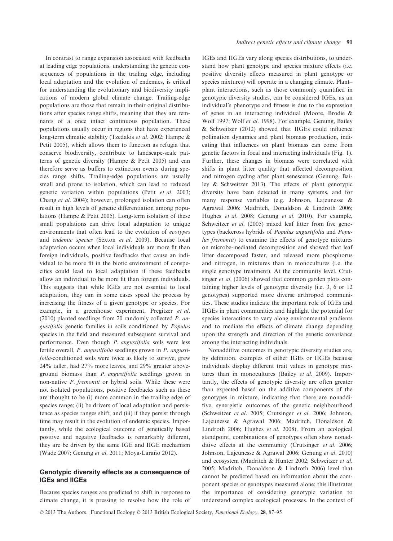In contrast to range expansion associated with feedbacks at leading edge populations, understanding the genetic consequences of populations in the trailing edge, including local adaptation and the evolution of endemics, is critical for understanding the evolutionary and biodiversity implications of modern global climate change. Trailing-edge populations are those that remain in their original distributions after species range shifts, meaning that they are remnants of a once intact continuous population. These populations usually occur in regions that have experienced long-term climatic stability (Tzedakis et al. 2002; Hampe & Petit 2005), which allows them to function as refugia that conserve biodiversity, contribute to landscape-scale patterns of genetic diversity (Hampe & Petit 2005) and can therefore serve as buffers to extinction events during species range shifts. Trailing-edge populations are usually small and prone to isolation, which can lead to reduced genetic variation within populations (Petit et al. 2003; Chang et al. 2004); however, prolonged isolation can often result in high levels of genetic differentiation among populations (Hampe & Petit 2005). Long-term isolation of these small populations can drive local adaptation to unique environments that often lead to the evolution of ecotypes and endemic species (Sexton et al. 2009). Because local adaptation occurs when local individuals are more fit than foreign individuals, positive feedbacks that cause an individual to be more fit in the biotic environment of conspecifics could lead to local adaptation if these feedbacks allow an individual to be more fit than foreign individuals. This suggests that while IGEs are not essential to local adaptation, they can in some cases speed the process by increasing the fitness of a given genotype or species. For example, in a greenhouse experiment, Pregitzer et al. (2010) planted seedlings from 20 randomly collected P. angustifolia genetic families in soils conditioned by Populus species in the field and measured subsequent survival and performance. Even though P. angustifolia soils were less fertile overall, P. angustifolia seedlings grown in P. angustifolia-conditioned soils were twice as likely to survive, grew 24% taller, had 27% more leaves, and 29% greater aboveground biomass than P. angustifolia seedlings grown in non-native P. fremontii or hybrid soils. While these were not isolated populations, positive feedbacks such as these are thought to be (i) more common in the trailing edge of species range; (ii) be drivers of local adaptation and persistence as species ranges shift; and (iii) if they persist through time may result in the evolution of endemic species. Importantly, while the ecological outcome of genetically based positive and negative feedbacks is remarkably different, they are be driven by the same IGE and IIGE mechanism (Wade 2007; Genung et al. 2011; Moya-Laraño 2012).

## Genotypic diversity effects as a consequence of IGEs and IIGEs

Because species ranges are predicted to shift in response to climate change, it is pressing to resolve how the role of IGEs and IIGEs vary along species distributions, to understand how plant genotype and species mixture effects (i.e. positive diversity effects measured in plant genotype or species mixtures) will operate in a changing climate. Plant– plant interactions, such as those commonly quantified in genotypic diversity studies, can be considered IGEs, as an individual's phenotype and fitness is due to the expression of genes in an interacting individual (Moore, Brodie & Wolf 1997; Wolf et al. 1998). For example, Genung, Bailey & Schweitzer (2012) showed that IIGEs could influence pollination dynamics and plant biomass production, indicating that influences on plant biomass can come from genetic factors in focal and interacting individuals (Fig. 1). Further, these changes in biomass were correlated with shifts in plant litter quality that affected decomposition and nitrogen cycling after plant senescence (Genung, Bailey & Schweitzer 2013). The effects of plant genotypic diversity have been detected in many systems, and for many response variables (e.g. Johnson, Lajeunesse & Agrawal 2006; Madritch, Donaldson & Lindroth 2006; Hughes et al. 2008; Genung et al. 2010). For example, Schweitzer et al. (2005) mixed leaf litter from five genotypes (backcross hybrids of Populus angustifolia and Populus fremontii) to examine the effects of genotype mixtures on microbe-mediated decomposition and showed that leaf litter decomposed faster, and released more phosphorus and nitrogen, in mixtures than in monocultures (i.e. the single genotype treatment). At the community level, Crutsinger *et al.* (2006) showed that common garden plots containing higher levels of genotypic diversity (i.e. 3, 6 or 12 genotypes) supported more diverse arthropod communities. These studies indicate the important role of IGEs and IIGEs in plant communities and highlight the potential for species interactions to vary along environmental gradients and to mediate the effects of climate change depending upon the strength and direction of the genetic covariance among the interacting individuals.

Nonadditive outcomes in genotypic diversity studies are, by definition, examples of either IGEs or IIGEs because individuals display different trait values in genotype mixtures than in monocultures (Bailey et al. 2009). Importantly, the effects of genotypic diversity are often greater than expected based on the additive components of the genotypes in mixture, indicating that there are nonadditive, synergistic outcomes of the genetic neighbourhood (Schweitzer et al. 2005; Crutsinger et al. 2006; Johnson, Lajeunesse & Agrawal 2006; Madritch, Donaldson & Lindroth 2006; Hughes et al. 2008). From an ecological standpoint, combinations of genotypes often show nonadditive effects at the community (Crutsinger et al. 2006; Johnson, Lajeunesse & Agrawal 2006; Genung et al. 2010) and ecosystem (Madritch & Hunter 2002; Schweitzer et al. 2005; Madritch, Donaldson & Lindroth 2006) level that cannot be predicted based on information about the component species or genotypes measured alone; this illustrates the importance of considering genotypic variation to understand complex ecological processes. In the context of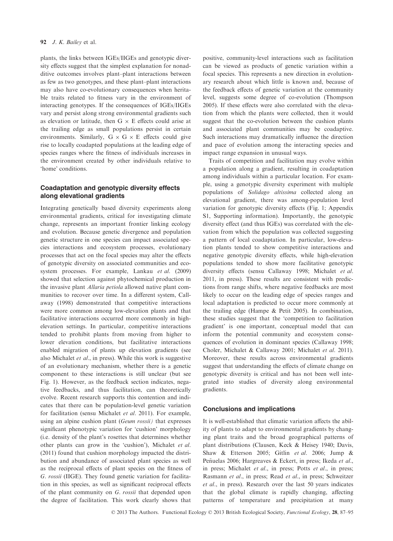plants, the links between IGEs/IIGEs and genotypic diversity effects suggest that the simplest explanation for nonadditive outcomes involves plant–plant interactions between as few as two genotypes, and these plant–plant interactions may also have co-evolutionary consequences when heritable traits related to fitness vary in the environment of interacting genotypes. If the consequences of IGEs/IIGEs vary and persist along strong environmental gradients such as elevation or latitude, then  $G \times E$  effects could arise at the trailing edge as small populations persist in certain environments. Similarly,  $G \times G \times E$  effects could give rise to locally coadapted populations at the leading edge of species ranges where the fitness of individuals increases in the environment created by other individuals relative to 'home' conditions.

# Coadaptation and genotypic diversity effects along elevational gradients

Integrating genetically based diversity experiments along environmental gradients, critical for investigating climate change, represents an important frontier linking ecology and evolution. Because genetic divergence and population genetic structure in one species can impact associated species interactions and ecosystem processes, evolutionary processes that act on the focal species may alter the effects of genotypic diversity on associated communities and ecosystem processes. For example, Lankau et al. (2009) showed that selection against phytochemical production in the invasive plant Allaria petiola allowed native plant communities to recover over time. In a different system, Callaway (1998) demonstrated that competitive interactions were more common among low-elevation plants and that facilitative interactions occurred more commonly in highelevation settings. In particular, competitive interactions tended to prohibit plants from moving from higher to lower elevation conditions, but facilitative interactions enabled migration of plants up elevation gradients (see also Michalet et al., in press). While this work is suggestive of an evolutionary mechanism, whether there is a genetic component to these interactions is still unclear (but see Fig. 1). However, as the feedback section indicates, negative feedbacks, and thus facilitation, can theoretically evolve. Recent research supports this contention and indicates that there can be population-level genetic variation for facilitation (sensu Michalet et al. 2011). For example, using an alpine cushion plant *(Geum rossii)* that expresses significant phenotypic variation for 'cushion' morphology (i.e. density of the plant's rosettes that determines whether other plants can grow in the 'cushion'), Michalet et al. (2011) found that cushion morphology impacted the distribution and abundance of associated plant species as well as the reciprocal effects of plant species on the fitness of G. rossii (IIGE). They found genetic variation for facilitation in this species, as well as significant reciprocal effects of the plant community on G. rossii that depended upon the degree of facilitation. This work clearly shows that

positive, community-level interactions such as facilitation can be viewed as products of genetic variation within a focal species. This represents a new direction in evolutionary research about which little is known and, because of the feedback effects of genetic variation at the community level, suggests some degree of co-evolution (Thompson 2005). If these effects were also correlated with the elevation from which the plants were collected, then it would suggest that the co-evolution between the cushion plants and associated plant communities may be coadaptive. Such interactions may dramatically influence the direction and pace of evolution among the interacting species and impact range expansion in unusual ways.

Traits of competition and facilitation may evolve within a population along a gradient, resulting in coadaptation among individuals within a particular location. For example, using a genotypic diversity experiment with multiple populations of Solidago altissima collected along an elevational gradient, there was among-population level variation for genotypic diversity effects (Fig. 1; Appendix S1, Supporting information). Importantly, the genotypic diversity effect (and thus IGEs) was correlated with the elevation from which the population was collected suggesting a pattern of local coadaptation. In particular, low-elevation plants tended to show competitive interactions and negative genotypic diversity effects, while high-elevation populations tended to show more facilitative genotypic diversity effects (sensu Callaway 1998; Michalet et al. 2011, in press). These results are consistent with predictions from range shifts, where negative feedbacks are most likely to occur on the leading edge of species ranges and local adaptation is predicted to occur more commonly at the trailing edge (Hampe & Petit 2005). In combination, these studies suggest that the 'competition to facilitation gradient' is one important, conceptual model that can inform the potential community and ecosystem consequences of evolution in dominant species (Callaway 1998; Choler, Michalet & Callaway 2001; Michalet et al. 2011). Moreover, these results across environmental gradients suggest that understanding the effects of climate change on genotypic diversity is critical and has not been well integrated into studies of diversity along environmental gradients.

## Conclusions and implications

It is well-established that climatic variation affects the ability of plants to adapt to environmental gradients by changing plant traits and the broad geographical patterns of plant distributions (Clausen, Keck & Heisey 1940; Davis, Shaw & Etterson 2005; Gitlin et al. 2006; Jump & Peñuelas 2006; Hargreaves & Eckert, in press; Ikeda et al., in press; Michalet et al., in press; Potts et al., in press; Rasmann et al., in press; Read et al., in press; Schweitzer et al., in press). Research over the last 50 years indicates that the global climate is rapidly changing, affecting patterns of temperature and precipitation at many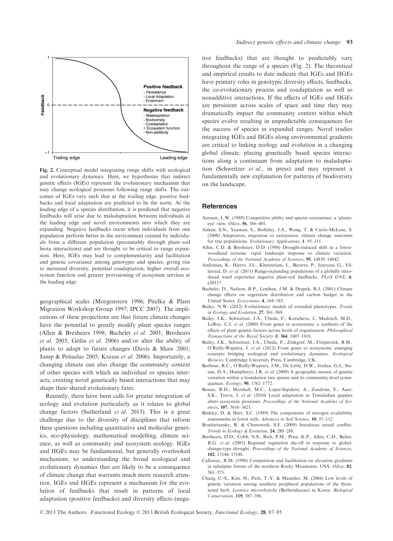![](_page_6_Figure_0.jpeg)

Fig. 2. Conceptual model integrating range shifts with ecological and evolutionary dynamics. Here, we hypothesize that indirect genetic effects (IGEs) represent the evolutionary mechanism that may change ecological processes following range shifts. The outcomes of IGEs vary such that at the trailing edge, positive feedbacks and local adaptation are predicted to be the norm. At the leading edge of a species distribution, it is predicted that negative feedbacks will arise due to maladaptation between individuals at the leading edge and novel environments into which they are expanding. Negative feedbacks occur when individuals from one population perform better in the environment created by individuals from a different population (presumably through plant–soil biota interactions) and are thought to be critical to range expansion. Here, IGEs may lead to complementarity and facilitation and genetic covariance among genotypes and species, giving rise to increased diversity, potential coadaptation, higher overall ecosystem function and greater provisioning of ecosystem services at the leading edge.

geographical scales (Morgenstern 1996; Pitelka & Plant Migration Workshop Group 1997; IPCC 2007). The implications of these projections are that future climate changes have the potential to greatly modify plant species ranges (Allen & Breshears 1998; Bachelet et al. 2001; Breshears et al. 2005; Gitlin et al. 2006) and/or alter the ability of plants to adapt to future changes (Davis & Shaw 2001; Jump & Peñuelas 2005; Krauss et al. 2006). Importantly, a changing climate can also change the community context of other species with which an individual or species interacts, creating novel genetically based interactions that may shape their shared evolutionary fates.

Recently, there have been calls for greater integration of ecology and evolution particularly as it relates to global change factors (Sutherland et al. 2013). This is a great challenge due to the diversity of disciplines that inform these questions including quantitative and molecular genetics, eco-physiology, mathematical modelling, climate science, as well as community and ecosystem ecology. IGEs and IIGEs may be fundamental, but generally overlooked mechanism, to understanding the broad ecological and evolutionary dynamics that are likely to be a consequence of climate change that warrants much more research attention. IGEs and IIGEs represent a mechanism for the evolution of feedbacks that result in patterns of local adaptation (positive feedbacks) and diversity effects (negative feedbacks) that are thought to predictably vary throughout the range of a species (Fig. 2). The theoretical and empirical results to date indicate that IGEs and IIGEs have primary roles in genotypic diversity effects, feedbacks, the co-evolutionary process and coadaptation as well as nonadditive interactions. If the effects of IGEs and IIGEs are persistent across scales of space and time they may dramatically impact the community context within which species evolve resulting in unpredictable consequences for the success of species in expanded ranges. Novel studies integrating IGEs and IIGEs along environmental gradients are critical to linking ecology and evolution in a changing global climate, placing genetically based species interactions along a continuum from adaptation to maladaptation (Schweitzer et al., in press) and may represent a fundamentally new explanation for patterns of biodiversity on the landscape.

### **References**

- Aarssen, L.W. (1989) Competitive ability and species coexistence: a 'plantseye' view. Oikos, 56, 386–401.
- Aitken, S.N., Yeaman, S., Holliday, J.A., Wang, T. & Curtis-McLane, S. (2008) Adaptation, migration or extirpation: climate change outcomes for tree populations. Evolutionary Applications, 1, 95–111.
- Allen, C.D. & Breshears, D.D. (1998) Drought-induced shift in a forestwoodland ecotone: rapid landscape response to climate variation. Proceedings of the National Academy of Sciences, 95, 14839–14842.
- Andonian, K., Hierro, J.L., Khetsuriani, L., Becerra, P., Janoyan, G., Villarreal, D. et al. (2011) Range-expanding populations of a globally introduced weed experience negative plant-soil feedbacks. PLoS ONE, 6, e20117.
- Bachelet, D., Neilson, R.P., Lenihan, J.M. & Drapek, R.J. (2001) Climate change effects on vegetation distribution and carbon budget in the United States. Ecosystems, 4, 164–185.
- Bailey, N.W. (2012) Evolutionary models of extended phenotypes. Trends in Ecology and Evolution, 27, 561–569.
- Bailey, J.K., Schweitzer, J.A., Ubeda, F., Koricheva, J., Madritch, M.D., LeRoy, C.J. et al. (2009) From genes to ecosystems: a synthesis of the effects of plant genetic factors across levels of organization. Philosophical Transactions of the Royal Society B, 364, 1607–1616.
- Bailey, J.K., Schweitzer, J.A., Ubeda, F., Zinkgraf, M., Fitzpatrick, B.M., O'Reilly-Wapstra, J. et al. (2012) From genes to ecosystems: emerging concepts bridging ecological and evolutionary dynamics. Ecological Reviews. Cambridge University Press, Cambridge, UK.
- Barbour, R.C., O'Reilly-Wapstra, J.M., De Little, D.W., Jordan, G.J., Steane, D.A., Humphreys, J.R. et al. (2009) A geographic mosaic of genetic variation within a foundation tree species and its community-level consequences. Ecology, 90, 1762–1772.
- Bassar, R.D., Marshall, M.C., Lopez-Sepulcre, A., Zandona, E., Auer, S.K., Travis, J. et al. (2010) Local adaptation in Trinidadian guppies alters ecosystem processes. Proceedings of the National Academy of Sciences, 107, 3616–3621.
- Binkley, D. & Hart, S.C. (1989) The components of nitrogen availability assessments in forest soils. Advances in Soil Science, 10, 57–112.
- Bonduriansky, R. & Chenoweth, S.F. (2009) Intralocus sexual conflict. Trends in Ecology & Evolution, 24, 280–288.
- Breshears, D.D., Cobb, N.S., Rich, P.M., Price, K.P., Allen, C.D., Balice, R.G. et al. (2005) Regional vegetation die-off in response to globalchange-type drought. Proceedings of the National Academy of Sciences, 102, 15144–15148.
- Callaway, R.M. (1998) Competition and facilitation on elevation gradients in subalpine forests of the northern Rocky Mountains, USA. Oikos, 82, 561–573.
- Chang, C.-S., Kim, H., Park, T.-Y. & Maunder, M. (2004) Low levels of genetic variation among southern peripheral populations of the threatened herb, Leontice microrhyncha (Berberidaceae) in Korea. Biological Conservation, 119, 387–396.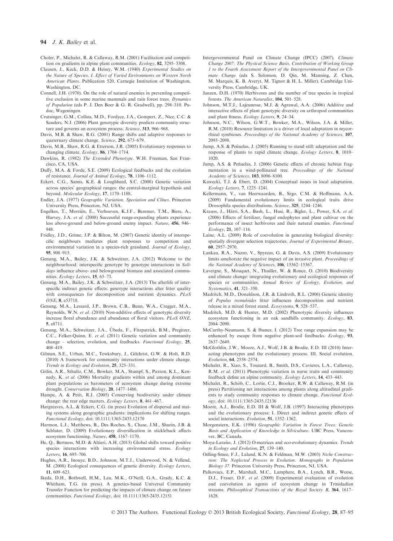- Choler, P., Michalet, R. & Callaway, R.M. (2001) Facilitation and competition on gradients in alpine plant communities. Ecology, 82, 3295–3308.
- Clausen, J., Keck, D.D. & Heisey, W.M. (1940) Experimental Studies on the Nature of Species. I. Effect of Varied Environments on Western North American Plants. Publication 520, Carnegie Institution of Washington, Washington, DC.
- Connell, J.H. (1970). On the role of natural enemies in preventing competitive exclusion in some marine mammals and rain forest trees. Dynamics of Population (eds P. J. Den Boer & G. R. Gradwell), pp. 298–310. Pudoc, Wageningen.
- Crutsinger, G.M., Collins, M.D., Fordyce, J.A., Gompert, Z., Nice, C.C. & Sanders, N.J. (2006) Plant genotypic diversity predicts community structure and governs an ecosystem process. Science, 313, 966–968.
- Davis, M.B. & Shaw, R.G. (2001) Range shifts and adaptive responses to quaternary climate change. Science, 292, 673–679.
- Davis, M.B., Shaw, R.G. & Etterson, J.R. (2005) Evolutionary responses to changing climate. Ecology, 86, 1704–1714.
- Dawkins, R. (1982) The Extended Phenotype. W.H. Freeman, San Francisco, CA, USA.
- Duffy, M.A. & Forde, S.E. (2009) Ecological feedbacks and the evolution of resistance. Journal of Animal Ecology, 78, 1106–1112.
- Eckert, C.G., Samis, K.E. & Loughheed, S.C. (2008) Genetic variation across species' geographical ranges: the central-marginal hypothesis and beyond. Molecular Ecology, 17, 1170–1188.
- Endler, J.A. (1977) Geographic Variation, Speciation and Clines. Princeton University Press, Princeton, NJ, USA.
- Engelkes, T., Morriën, E., Verhoeven, K.J.F., Bezemer, T.M., Biere, A., Harvey, J.A. et al. (2008) Successful range-expanding plants experience less above-ground and below-ground enemy impact. Nature, 456, 946– 948.
- Fridley, J.D., Grime, J.P. & Bilton, M. (2007) Genetic identity of interspecific neighbours mediates plant responses to competition and environmental variation in a species-rich grassland. Journal of Ecology, 95, 908–915.
- Genung, M.A., Bailey, J.K. & Schweitzer, J.A. (2012) Welcome to the neighbourhood: interspecific genotype by genotype interactions in Solidago influence above- and belowground biomass and associated communities. Ecology Letters, 15, 65–73.
- Genung, M.A., Bailey, J.K. & Schweitzer, J.A. (2013) The afterlife of interspecific indirect genetic effects: genotype interactions alter litter quality with consequences for decomposition and nutrient dynamics. PLoS ONE, 8, e53718.
- Genung, M.A., Lessard, J.P., Brown, C.B., Bunn, W.A., Cregger, M.A., Reynolds, W.N. et al. (2010) Non-additive effects of genotypic diversity increase floral abundance and abundance of floral visitors. PLoS ONE, 5, e8711.
- Genung, M.A., Schweitzer, J.A., Ubeda, F., Fitzpatrick, B.M., Pregitzer, C.C., Felker-Quinn, E. et al. (2011) Genetic variation and community change – selection, evolution, and feedbacks. Functional Ecology, 25, 408–419.
- Gilman, S.E., Urban, M.C., Tewksbury, J., Gilchrist, G.W. & Holt, R.D. (2010) A framework for community interactions under climate change. Trends in Ecology and Evolution, 25, 325–331.
- Gitlin, A.R., Sthultz, C.M., Bowker, M.A., Stumpf, S., Paxton, K.L., Kennedy, K. et al. (2006) Mortality gradients within and among dominant plant populations as barometers of ecosystem change during extreme drought. Conservation Biology, 20, 1477–1486.
- Hampe, A. & Petit, R.J. (2005) Conserving biodiversity under climate change: the rear edge matters. Ecology Letters, 8, 461–467.
- Hargreaves, A.L. & Eckert, C.G. (in press) Evolution of dispersal and mating systems along geographic gradients: implications for shifting ranges. Functional Ecology, doi: 10.1111/1365-2435.12170
- Harmon, L.J., Matthews, B., Des Roches, S., Chase, J.M., Shurin, J.B. & Schluter, D. (2009) Evolutionary diversification in stickleback affects ecosystem functioning. Nature, 458, 1167–1170.
- He, Q., Bertness, M.D. & Altieri, A.H. (2013) Global shifts toward positive species interactions with increasing environmental stress. Ecology Letters, 16, 695–706.
- Hughes, A.R., Inouye, B.D., Johnson, M.T.J., Underwood, N. & Vellend, M. (2008) Ecological consequences of genetic diversity. Ecology Letters, 11, 609–623.
- Ikeda, D.H., Bothwell, H.M., Lau, M.K., O'Neill, G.A., Grady, K.C. & Whitham, T.G. (in press). A genetics-based Universal Community Transfer Function for predicting the impacts of climate change on future communities. Functional Ecology, doi: 10.1111/1365-2435.12151
- Intergovernmental Panel on Climate Change (IPCC) (2007). Climate Change 2007: The Physical Science Basis, Contribution of Working Group 1 to the Fourth Assessment Report of the Intergovernmental Panel on Climate Change (eds S. Solomon, D. Qin, M. Manning, Z. Chen, M. Marquis, K. B. Averyt, M. Tignor & H. L. Miller). Cambridge University Press, Cambridge, UK.
- Janzen, D.H. (1970) Herbivores and the number of tree species in tropical forests. The American Naturalist, 104, 501–528.
- Johnson, M.T.J., Lajeunesse, M.J. & Agrawal, A.A. (2006) Additive and interactive effects of plant genotypic diversity on arthropod communities and plant fitness. Ecology Letters, 9, 24–34.
- Johnson, N.C., Wilson, G.W.T., Bowker, M.A., Wilson, J.A. & Miller, R.M. (2010) Resource limitation is a driver of local adaptation in mycorrhizal symbioses. Proceedings of the National Academy of Sciences, 107, 2093–2098.
- Jump, A.S. & Peñuelas, J. (2005) Running to stand still: adaptation and the response of plants to rapid climate change. Ecology Letters, 8, 1010– 1020.
- Jump, A.S. & Peñuelas, J. (2006) Genetic effects of chronic habitat fragmentation in a wind-pollinated tree. Proceedings of the National Academy of Sciences, 103, 8096–8100.
- Kawecki, T.J. & Ebert, D. (2004) Conceptual issues in local adaptation. Ecology Letters, 7, 1225–1241.
- Kellermann, V., van Heerwaarden, B., Srgo, C.M. & Hoffmann, A.A. (2009) Fundamental evolutionary limits in ecological traits drive Drosophila species distributions. Science, 325, 1244–1246.
- Krauss, J., Härri, S.A., Bush, L., Husi, R., Bigler, L., Power, S.A. et al. (2006) Effects of fertilizer, fungal endophytes and plant cultivar on the performance of insect herbivores and their natural enemies. Functional Ecology, 21, 107–116.
- Laine, A.L. (2009) Role of coevolution in generating biological diversity: spatially divergent selection trajectories. Journal of Experimental Botany, 60, 2957–2970.
- Lankau, R.A., Nuzzo, V., Spyreas, G. & Davis, A.S. (2009) Evolutionary limits ameliorate the negative impact of an invasive plant. Proceedings of the National Academy of Sciences, 106, 15362–15367.
- Lavergne, S., Mouquet, N., Thuiller, W. & Ronce, O. (2010) Biodiversity and climate change: integrating evolutionary and ecological responses of species or communities. Annual Review of Ecology, Evolution, and Systematics, 41, 321–350.
- Madritch, M.D., Donaldson, J.R. & Lindroth, R.L. (2006) Genetic identity of Populus tremuloides litter influences decomposition and nutrient release in a mixed forest stand. Ecosystems, 9, 528–537.
- Madritch, M.D. & Hunter, M.D. (2002) Phenotypic diversity influences ecosystem functioning in an oak sandhills community. Ecology, 83, 2084–2090.
- McCarthy-Neumann, S. & Ibanez, I. (2012) Tree range expansion may be enhanced by escape from negative plant-soil feedbacks. Ecology, 93, 2637–2649.
- McGlothlin, J.W., Moore, A.J., Wolf, J.B. & Brodie, E.D. III (2010) Interacting phenotypes and the evolutionary process. III. Social evolution. Evolution, 64, 2558–2574.
- Michalet, R., Xiao, S., Touzard, B., Smith, D.S., Cavieres, L.A., Callaway, R.M. et al. (2011) Phenotypic variation in nurse traits and community feedback define an alpine community. Ecology Letters, 14, 433–443.
- Michalet, R., Schöb, C., Lortie, C.J., Brooker, R.W. & Callaway, R.M. (in press) Partitioning net interactions among plants along altitudinal gradients to study community responses to climate change. Functional Ecology, doi: 10.1111/1365-2435.12136
- Moore, A.J., Brodie, E.D. III & Wolf, J.B. (1997) Interacting phenotypes and the evolutionary process: I. Direct and indirect genetic effects of social interactions. Evolution, 51, 1352-1362.
- Morgenstern, E.K. (1996) Geographic Variation in Forest Trees: Genetic Basis and Application of Knowledge in Silviculture. UBC Press, Vancouver, BC, Canada.
- Moya-Laraño, J. (2012) O-matrices and eco-evolutionary dynamics. Trends in Ecology and Evolution, 27, 139–140.
- Odling-Smee, F.J., Laland, K.N. & Feldman, M.W. (2003) Niche Construction: The Neglected Process in Evolution. Monographs in Population Biology 37. Princeton University Press, Princeton, NJ, USA.
- Palkovacs, E.P., Marshall, M.C., Lamphere, B.A., Lynch, B.R., Weese, D.J., Fraser, D.F. et al. (2009) Experimental evaluation of evolution and coevolution as agents of ecosystem change in Trinidadian streams. Philosophical Transactions of the Royal Society B, 364, 1617-1628.